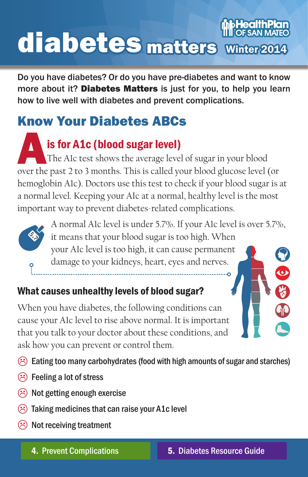# **pHealthPlar** diabetes matters Winter2014

Do you have diabetes? Or do you have pre-diabetes and want to know more about it? Diabetes Matters is just for you, to help you learn how to live well with diabetes and prevent complications.

## Know Your Diabetes ABCs

is for A1c (blood sugar level) The A1c test shows the average level of sugar in your blood over the past 2 to 3 months. This is called your blood glucose level (or hemoglobin A1c). Doctors use this test to check if your blood sugar is at a normal level. Keeping your AIc at a normal, healthy level is the most important way to prevent diabetes-related complications.



A normal A1c level is under 5.7%. If your A1c level is over 5.7%, it means that your blood sugar is too high. When your A1c level is too high, it can cause permanent damage to your kidneys, heart, eyes and nerves.

## What causes unhealthy levels of blood sugar?

When you have diabetes, the following conditions can cause your A1c level to rise above normal. It is important that you talk to your doctor about these conditions, and ask how you can prevent or control them.

 $\hat{\varnothing}$  Eating too many carbohydrates (food with high amounts of sugar and starches)

- $\circledS$  Feeling a lot of stress
- $\circledR$  Not getting enough exercise
- $\circledR$  Taking medicines that can raise your A1c level
- $\circledR$  Not receiving treatment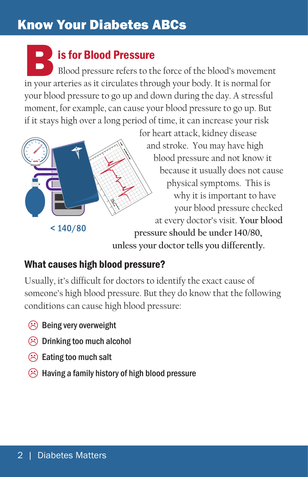## Know Your Diabetes ABCs

IS for Blood Pressure<br>
Blood pressure refers to the force of the blood's movemen<br>
in your arteries as it circulates through your body. It is normal for Blood pressure refers to the force of the blood's movement your blood pressure to go up and down during the day. A stressful moment, for example, can cause your blood pressure to go up. But if it stays high over a long period of time, it can increase your risk



for heart attack, kidney disease and stroke. You may have high blood pressure and not know it because it usually does not cause physical symptoms. This is why it is important to have your blood pressure checked at every doctor's visit. **Your blood pressure should be under 140/80, unless your doctor tells you differently.**

### What causes high blood pressure?

Usually, it's difficult for doctors to identify the exact cause of someone's high blood pressure. But they do know that the following conditions can cause high blood pressure:

- $\circledR$  Being very overweight
- $\circledR$  Drinking too much alcohol
- $\circledR$  Eating too much salt
- $\circled{e}$  Having a family history of high blood pressure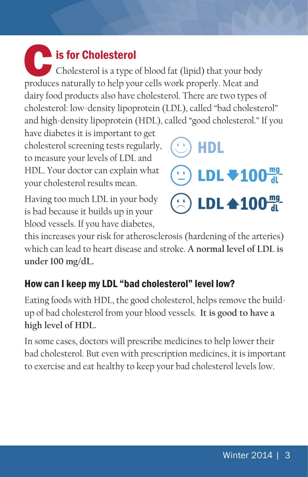## Cis for Cholesterol Cholesterol is a type of blood fat (lipid) that your body produces naturally to help your cells work properly. Meat and dairy food products also have cholesterol. There are two types of cholesterol: low-density lipoprotein (LDL), called "bad cholesterol" and high-density lipoprotein (HDL), called "good cholesterol." If you

have diabetes it is important to get cholesterol screening tests regularly, to measure your levels of LDL and HDL. Your doctor can explain what your cholesterol results mean.

Having too much LDL in your body is bad because it builds up in your blood vessels. If you have diabetes,



this increases your risk for atherosclerosis (hardening of the arteries) which can lead to heart disease and stroke. **A normal level of LDL is under 100 mg/dL.**

## How can I keep my LDL "bad cholesterol" level low?

Eating foods with HDL, the good cholesterol, helps remove the buildup of bad cholesterol from your blood vessels. **It is good to have a high level of HDL.** 

In some cases, doctors will prescribe medicines to help lower their bad cholesterol. But even with prescription medicines, it is important to exercise and eat healthy to keep your bad cholesterol levels low.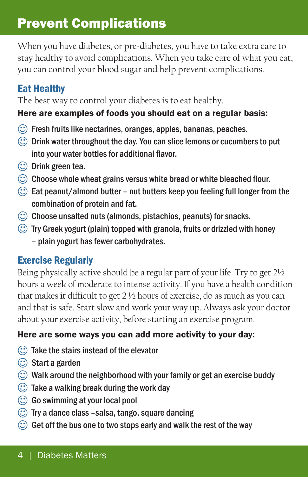## Prevent Complications

When you have diabetes, or pre-diabetes, you have to take extra care to stay healthy to avoid complications. When you take care of what you eat, you can control your blood sugar and help prevent complications.

### Eat Healthy

The best way to control your diabetes is to eat healthy.

#### Here are examples of foods you should eat on a regular basis:

- $\circled{c}$  Fresh fruits like nectarines, oranges, apples, bananas, peaches.
- $\circled{c}$  Drink water throughout the day. You can slice lemons or cucumbers to put into your water bottles for additional flavor.
- $\circled{c}$  Drink green tea.
- $\circled{c}$  Choose whole wheat grains versus white bread or white bleached flour.
- $\circled{c}$  Eat peanut/almond butter nut butters keep you feeling full longer from the combination of protein and fat.
- $\circled{c}$  Choose unsalted nuts (almonds, pistachios, peanuts) for snacks.
- $\circled{c}$  Try Greek yogurt (plain) topped with granola, fruits or drizzled with honey – plain yogurt has fewer carbohydrates.

## Exercise Regularly

Being physically active should be a regular part of your life. Try to get 2½ hours a week of moderate to intense activity. If you have a health condition that makes it difficult to get 2 ½ hours of exercise, do as much as you can and that is safe. Start slow and work your way up. Always ask your doctor about your exercise activity, before starting an exercise program.

### Here are some ways you can add more activity to your day:

- $\circled{c}$  Take the stairs instead of the elevator
- $\circled{c}$  Start a garden
- $\circled{c}$  Walk around the neighborhood with your family or get an exercise buddy
- $\circled{c}$  Take a walking break during the work day
- $\bigcirc$  Go swimming at your local pool
- $\circled{c}$  Try a dance class -salsa, tango, square dancing
- $\circled{c}$  Get off the bus one to two stops early and walk the rest of the way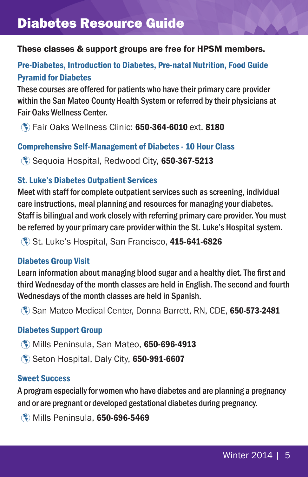## Diabetes Resource Guide

#### These classes & support groups are free for HPSM members.

#### Pre-Diabetes, Introduction to Diabetes, Pre-natal Nutrition, Food Guide Pyramid for Diabetes

These courses are offered for patients who have their primary care provider within the San Mateo County Health System or referred by their physicians at Fair Oaks Wellness Center.

� Fair Oaks Wellness Clinic: 650-364-6010 ext. 8180

#### Comprehensive Self-Management of Diabetes - 10 Hour Class

� Sequoia Hospital, Redwood City, 650-367-5213

#### St. Luke's Diabetes Outpatient Services

Meet with staff for complete outpatient services such as screening, individual care instructions, meal planning and resources for managing your diabetes. Staff is bilingual and work closely with referring primary care provider. You must be referred by your primary care provider within the St. Luke's Hospital system.

St. Luke's Hospital, San Francisco, 415-641-6826

#### Diabetes Group Visit

Learn information about managing blood sugar and a healthy diet. The first and third Wednesday of the month classes are held in English. The second and fourth Wednesdays of the month classes are held in Spanish.

� San Mateo Medical Center, Donna Barrett, RN, CDE, 650-573-2481

#### Diabetes Support Group

- � Mills Peninsula, San Mateo, 650-696-4913
- � Seton Hospital, Daly City, 650-991-6607

#### Sweet Success

A program especially for women who have diabetes and are planning a pregnancy and or are pregnant or developed gestational diabetes during pregnancy.

� Mills Peninsula, 650-696-5469